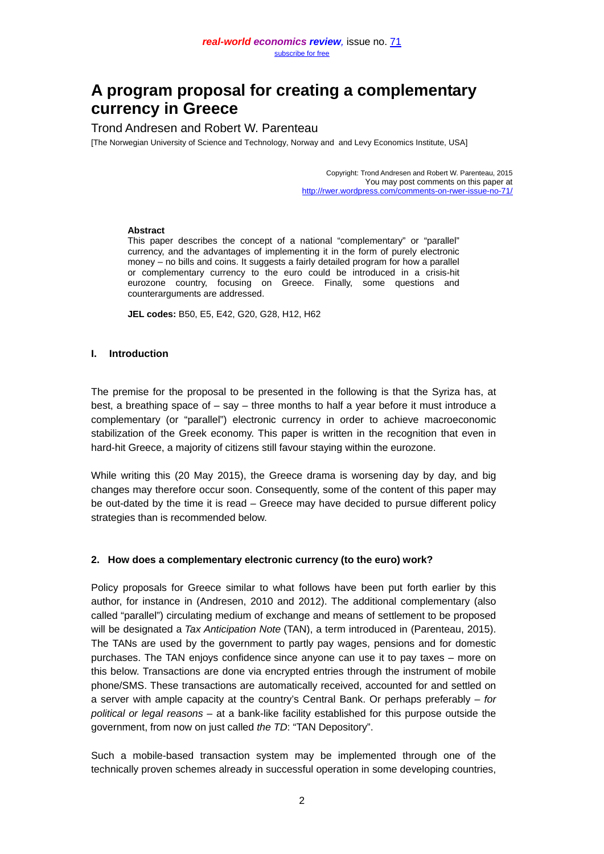# **A program proposal for creating a complementary currency in Greece**

# Trond Andresen and Robert W. Parenteau

[The Norwegian University of Science and Technology, Norway and and Levy Economics Institute, USA]

Copyright: Trond Andresen and Robert W. Parenteau, 2015 You may post comments on this paper at <http://rwer.wordpress.com/comments-on-rwer-issue-no-71/>

#### **Abstract**

This paper describes the concept of a national "complementary" or "parallel" currency, and the advantages of implementing it in the form of purely electronic money – no bills and coins. It suggests a fairly detailed program for how a parallel or complementary currency to the euro could be introduced in a crisis-hit eurozone country, focusing on Greece. Finally, some questions and counterarguments are addressed.

**JEL codes:** B50, E5, E42, G20, G28, H12, H62

#### **I. Introduction**

The premise for the proposal to be presented in the following is that the Syriza has, at best, a breathing space of – say – three months to half a year before it must introduce a complementary (or "parallel") electronic currency in order to achieve macroeconomic stabilization of the Greek economy. This paper is written in the recognition that even in hard-hit Greece, a majority of citizens still favour staying within the eurozone.

While writing this (20 May 2015), the Greece drama is worsening day by day, and big changes may therefore occur soon. Consequently, some of the content of this paper may be out-dated by the time it is read – Greece may have decided to pursue different policy strategies than is recommended below.

#### **2. How does a complementary electronic currency (to the euro) work?**

Policy proposals for Greece similar to what follows have been put forth earlier by this author, for instance in (Andresen, 2010 and 2012). The additional complementary (also called "parallel") circulating medium of exchange and means of settlement to be proposed will be designated a *Tax Anticipation Note* (TAN), a term introduced in (Parenteau, 2015). The TANs are used by the government to partly pay wages, pensions and for domestic purchases. The TAN enjoys confidence since anyone can use it to pay taxes – more on this below. Transactions are done via encrypted entries through the instrument of mobile phone/SMS. These transactions are automatically received, accounted for and settled on a server with ample capacity at the country's Central Bank. Or perhaps preferably *– for political or legal reasons –* at a bank-like facility established for this purpose outside the government, from now on just called *the TD*: "TAN Depository".

Such a mobile-based transaction system may be implemented through one of the technically proven schemes already in successful operation in some developing countries,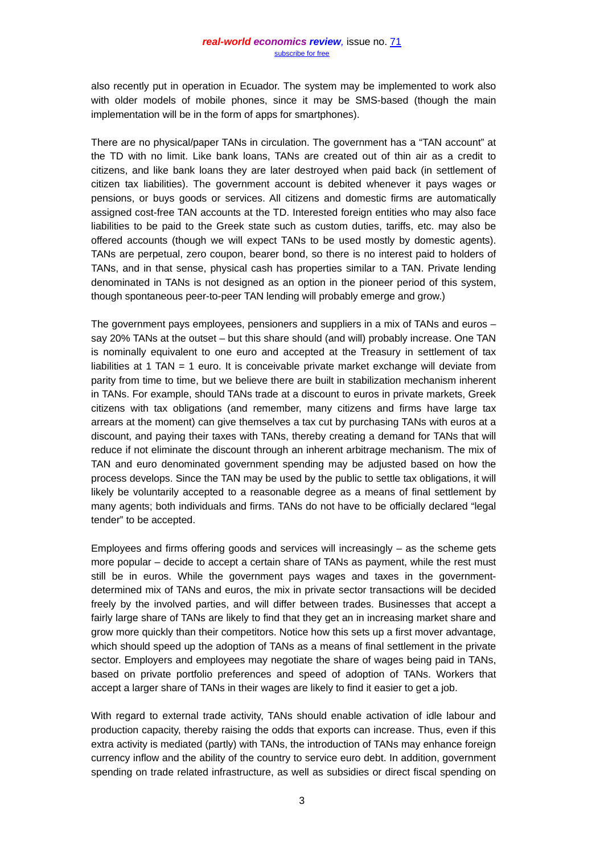also recently put in operation in Ecuador. The system may be implemented to work also with older models of mobile phones, since it may be SMS-based (though the main implementation will be in the form of apps for smartphones).

There are no physical/paper TANs in circulation. The government has a "TAN account" at the TD with no limit. Like bank loans, TANs are created out of thin air as a credit to citizens, and like bank loans they are later destroyed when paid back (in settlement of citizen tax liabilities). The government account is debited whenever it pays wages or pensions, or buys goods or services. All citizens and domestic firms are automatically assigned cost-free TAN accounts at the TD. Interested foreign entities who may also face liabilities to be paid to the Greek state such as custom duties, tariffs, etc. may also be offered accounts (though we will expect TANs to be used mostly by domestic agents). TANs are perpetual, zero coupon, bearer bond, so there is no interest paid to holders of TANs, and in that sense, physical cash has properties similar to a TAN. Private lending denominated in TANs is not designed as an option in the pioneer period of this system, though spontaneous peer-to-peer TAN lending will probably emerge and grow.)

The government pays employees, pensioners and suppliers in a mix of TANs and euros – say 20% TANs at the outset – but this share should (and will) probably increase. One TAN is nominally equivalent to one euro and accepted at the Treasury in settlement of tax liabilities at 1 TAN = 1 euro. It is conceivable private market exchange will deviate from parity from time to time, but we believe there are built in stabilization mechanism inherent in TANs. For example, should TANs trade at a discount to euros in private markets, Greek citizens with tax obligations (and remember, many citizens and firms have large tax arrears at the moment) can give themselves a tax cut by purchasing TANs with euros at a discount, and paying their taxes with TANs, thereby creating a demand for TANs that will reduce if not eliminate the discount through an inherent arbitrage mechanism. The mix of TAN and euro denominated government spending may be adjusted based on how the process develops. Since the TAN may be used by the public to settle tax obligations, it will likely be voluntarily accepted to a reasonable degree as a means of final settlement by many agents; both individuals and firms. TANs do not have to be officially declared "legal tender" to be accepted.

Employees and firms offering goods and services will increasingly  $-$  as the scheme gets more popular – decide to accept a certain share of TANs as payment, while the rest must still be in euros. While the government pays wages and taxes in the governmentdetermined mix of TANs and euros, the mix in private sector transactions will be decided freely by the involved parties, and will differ between trades. Businesses that accept a fairly large share of TANs are likely to find that they get an in increasing market share and grow more quickly than their competitors. Notice how this sets up a first mover advantage, which should speed up the adoption of TANs as a means of final settlement in the private sector. Employers and employees may negotiate the share of wages being paid in TANs, based on private portfolio preferences and speed of adoption of TANs. Workers that accept a larger share of TANs in their wages are likely to find it easier to get a job.

With regard to external trade activity, TANs should enable activation of idle labour and production capacity, thereby raising the odds that exports can increase. Thus, even if this extra activity is mediated (partly) with TANs, the introduction of TANs may enhance foreign currency inflow and the ability of the country to service euro debt. In addition, government spending on trade related infrastructure, as well as subsidies or direct fiscal spending on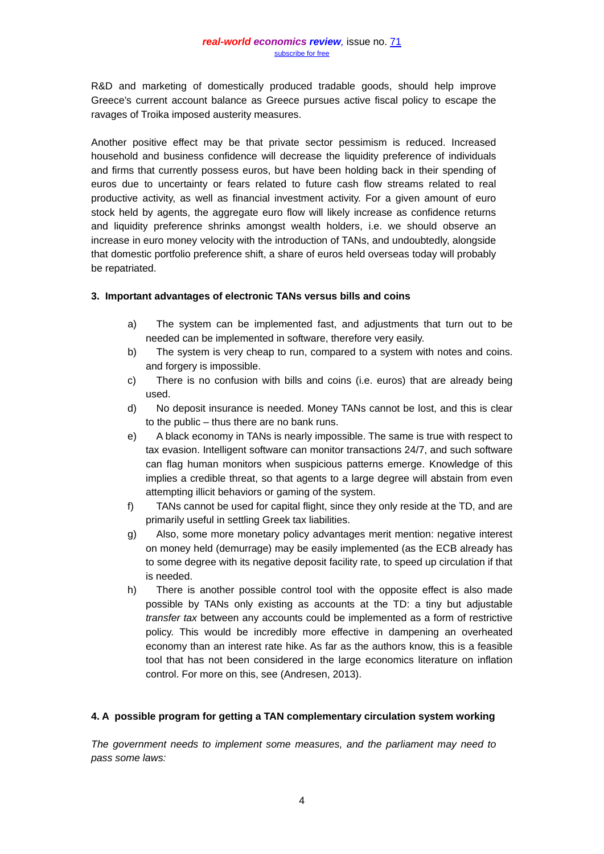R&D and marketing of domestically produced tradable goods, should help improve Greece's current account balance as Greece pursues active fiscal policy to escape the ravages of Troika imposed austerity measures.

Another positive effect may be that private sector pessimism is reduced. Increased household and business confidence will decrease the liquidity preference of individuals and firms that currently possess euros, but have been holding back in their spending of euros due to uncertainty or fears related to future cash flow streams related to real productive activity, as well as financial investment activity. For a given amount of euro stock held by agents, the aggregate euro flow will likely increase as confidence returns and liquidity preference shrinks amongst wealth holders, i.e. we should observe an increase in euro money velocity with the introduction of TANs, and undoubtedly, alongside that domestic portfolio preference shift, a share of euros held overseas today will probably be repatriated.

# **3. Important advantages of electronic TANs versus bills and coins**

- a) The system can be implemented fast, and adjustments that turn out to be needed can be implemented in software, therefore very easily.
- b) The system is very cheap to run, compared to a system with notes and coins. and forgery is impossible.
- c) There is no confusion with bills and coins (i.e. euros) that are already being used.
- d) No deposit insurance is needed. Money TANs cannot be lost, and this is clear to the public – thus there are no bank runs.
- e) A black economy in TANs is nearly impossible. The same is true with respect to tax evasion. Intelligent software can monitor transactions 24/7, and such software can flag human monitors when suspicious patterns emerge. Knowledge of this implies a credible threat, so that agents to a large degree will abstain from even attempting illicit behaviors or gaming of the system.
- f) TANs cannot be used for capital flight, since they only reside at the TD, and are primarily useful in settling Greek tax liabilities.
- g) Also, some more monetary policy advantages merit mention: negative interest on money held (demurrage) may be easily implemented (as the ECB already has to some degree with its negative deposit facility rate, to speed up circulation if that is needed.
- h) There is another possible control tool with the opposite effect is also made possible by TANs only existing as accounts at the TD: a tiny but adjustable *transfer tax* between any accounts could be implemented as a form of restrictive policy. This would be incredibly more effective in dampening an overheated economy than an interest rate hike. As far as the authors know, this is a feasible tool that has not been considered in the large economics literature on inflation control. For more on this, see (Andresen, 2013).

# **4. A possible program for getting a TAN complementary circulation system working**

*The government needs to implement some measures, and the parliament may need to pass some laws:*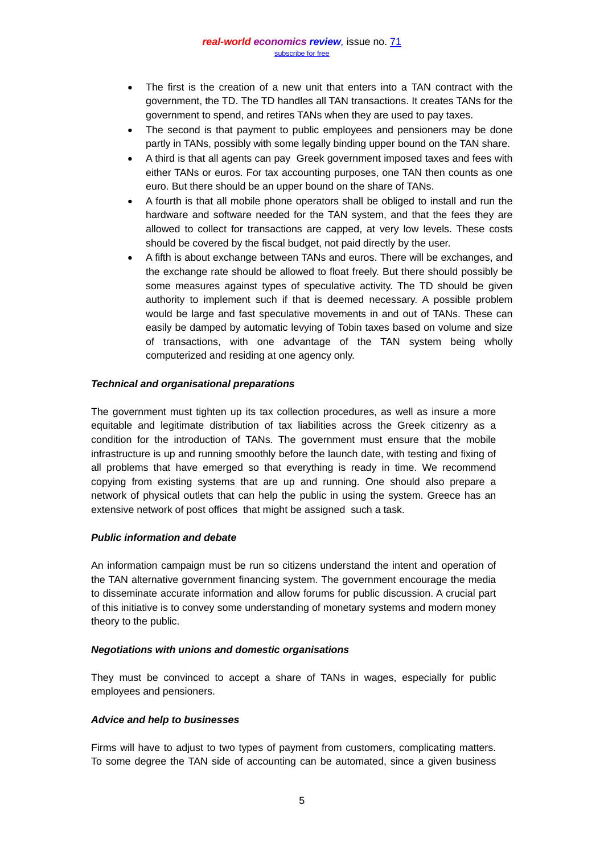- The first is the creation of a new unit that enters into a TAN contract with the government, the TD. The TD handles all TAN transactions. It creates TANs for the government to spend, and retires TANs when they are used to pay taxes.
- The second is that payment to public employees and pensioners may be done partly in TANs, possibly with some legally binding upper bound on the TAN share.
- A third is that all agents can pay Greek government imposed taxes and fees with either TANs or euros. For tax accounting purposes, one TAN then counts as one euro. But there should be an upper bound on the share of TANs.
- A fourth is that all mobile phone operators shall be obliged to install and run the hardware and software needed for the TAN system, and that the fees they are allowed to collect for transactions are capped, at very low levels. These costs should be covered by the fiscal budget, not paid directly by the user.
- A fifth is about exchange between TANs and euros. There will be exchanges, and the exchange rate should be allowed to float freely. But there should possibly be some measures against types of speculative activity. The TD should be given authority to implement such if that is deemed necessary. A possible problem would be large and fast speculative movements in and out of TANs. These can easily be damped by automatic levying of Tobin taxes based on volume and size of transactions, with one advantage of the TAN system being wholly computerized and residing at one agency only.

# *Technical and organisational preparations*

The government must tighten up its tax collection procedures, as well as insure a more equitable and legitimate distribution of tax liabilities across the Greek citizenry as a condition for the introduction of TANs. The government must ensure that the mobile infrastructure is up and running smoothly before the launch date, with testing and fixing of all problems that have emerged so that everything is ready in time. We recommend copying from existing systems that are up and running. One should also prepare a network of physical outlets that can help the public in using the system. Greece has an extensive network of post offices that might be assigned such a task.

# *Public information and debate*

An information campaign must be run so citizens understand the intent and operation of the TAN alternative government financing system. The government encourage the media to disseminate accurate information and allow forums for public discussion. A crucial part of this initiative is to convey some understanding of monetary systems and modern money theory to the public.

# *Negotiations with unions and domestic organisations*

They must be convinced to accept a share of TANs in wages, especially for public employees and pensioners.

# *Advice and help to businesses*

Firms will have to adjust to two types of payment from customers, complicating matters. To some degree the TAN side of accounting can be automated, since a given business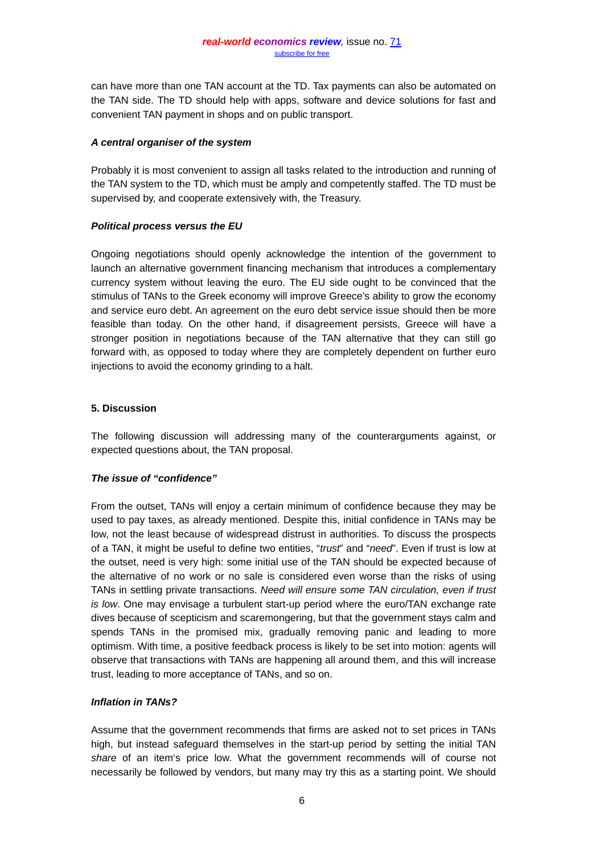can have more than one TAN account at the TD. Tax payments can also be automated on the TAN side. The TD should help with apps, software and device solutions for fast and convenient TAN payment in shops and on public transport.

#### *A central* **o***rganiser of the system*

Probably it is most convenient to assign all tasks related to the introduction and running of the TAN system to the TD, which must be amply and competently staffed. The TD must be supervised by, and cooperate extensively with, the Treasury.

# *Political process versus the EU*

Ongoing negotiations should openly acknowledge the intention of the government to launch an alternative government financing mechanism that introduces a complementary currency system without leaving the euro. The EU side ought to be convinced that the stimulus of TANs to the Greek economy will improve Greece's ability to grow the economy and service euro debt. An agreement on the euro debt service issue should then be more feasible than today. On the other hand, if disagreement persists, Greece will have a stronger position in negotiations because of the TAN alternative that they can still go forward with, as opposed to today where they are completely dependent on further euro injections to avoid the economy grinding to a halt.

# **5. Discussion**

The following discussion will addressing many of the counterarguments against, or expected questions about, the TAN proposal.

# *The issue of "confidence"*

From the outset, TANs will enjoy a certain minimum of confidence because they may be used to pay taxes, as already mentioned. Despite this, initial confidence in TANs may be low, not the least because of widespread distrust in authorities. To discuss the prospects of a TAN, it might be useful to define two entities, "*trust*" and "*need*". Even if trust is low at the outset, need is very high: some initial use of the TAN should be expected because of the alternative of no work or no sale is considered even worse than the risks of using TANs in settling private transactions. *Need will ensure some TAN circulation, even if trust is low*. One may envisage a turbulent start-up period where the euro/TAN exchange rate dives because of scepticism and scaremongering, but that the government stays calm and spends TANs in the promised mix, gradually removing panic and leading to more optimism. With time, a positive feedback process is likely to be set into motion: agents will observe that transactions with TANs are happening all around them, and this will increase trust, leading to more acceptance of TANs, and so on.

#### *Inflation in TANs?*

Assume that the government recommends that firms are asked not to set prices in TANs high, but instead safeguard themselves in the start-up period by setting the initial TAN *share* of an item's price low. What the government recommends will of course not necessarily be followed by vendors, but many may try this as a starting point. We should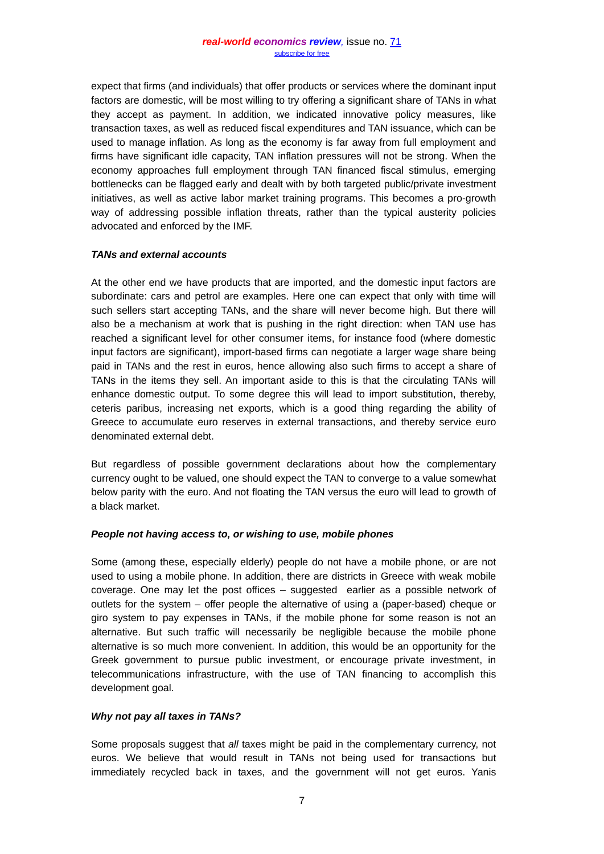expect that firms (and individuals) that offer products or services where the dominant input factors are domestic, will be most willing to try offering a significant share of TANs in what they accept as payment. In addition, we indicated innovative policy measures, like transaction taxes, as well as reduced fiscal expenditures and TAN issuance, which can be used to manage inflation. As long as the economy is far away from full employment and firms have significant idle capacity, TAN inflation pressures will not be strong. When the economy approaches full employment through TAN financed fiscal stimulus, emerging bottlenecks can be flagged early and dealt with by both targeted public/private investment initiatives, as well as active labor market training programs. This becomes a pro-growth way of addressing possible inflation threats, rather than the typical austerity policies advocated and enforced by the IMF.

# *TANs and external accounts*

At the other end we have products that are imported, and the domestic input factors are subordinate: cars and petrol are examples. Here one can expect that only with time will such sellers start accepting TANs, and the share will never become high. But there will also be a mechanism at work that is pushing in the right direction: when TAN use has reached a significant level for other consumer items, for instance food (where domestic input factors are significant), import-based firms can negotiate a larger wage share being paid in TANs and the rest in euros, hence allowing also such firms to accept a share of TANs in the items they sell. An important aside to this is that the circulating TANs will enhance domestic output. To some degree this will lead to import substitution, thereby, ceteris paribus, increasing net exports, which is a good thing regarding the ability of Greece to accumulate euro reserves in external transactions, and thereby service euro denominated external debt.

But regardless of possible government declarations about how the complementary currency ought to be valued, one should expect the TAN to converge to a value somewhat below parity with the euro. And not floating the TAN versus the euro will lead to growth of a black market.

# *People not having access to, or wishing to use, mobile phones*

Some (among these, especially elderly) people do not have a mobile phone, or are not used to using a mobile phone. In addition, there are districts in Greece with weak mobile coverage. One may let the post offices – suggested earlier as a possible network of outlets for the system – offer people the alternative of using a (paper-based) cheque or giro system to pay expenses in TANs, if the mobile phone for some reason is not an alternative. But such traffic will necessarily be negligible because the mobile phone alternative is so much more convenient. In addition, this would be an opportunity for the Greek government to pursue public investment, or encourage private investment, in telecommunications infrastructure, with the use of TAN financing to accomplish this development goal.

# *Why not pay all taxes in TANs?*

Some proposals suggest that *all* taxes might be paid in the complementary currency, not euros. We believe that would result in TANs not being used for transactions but immediately recycled back in taxes, and the government will not get euros. Yanis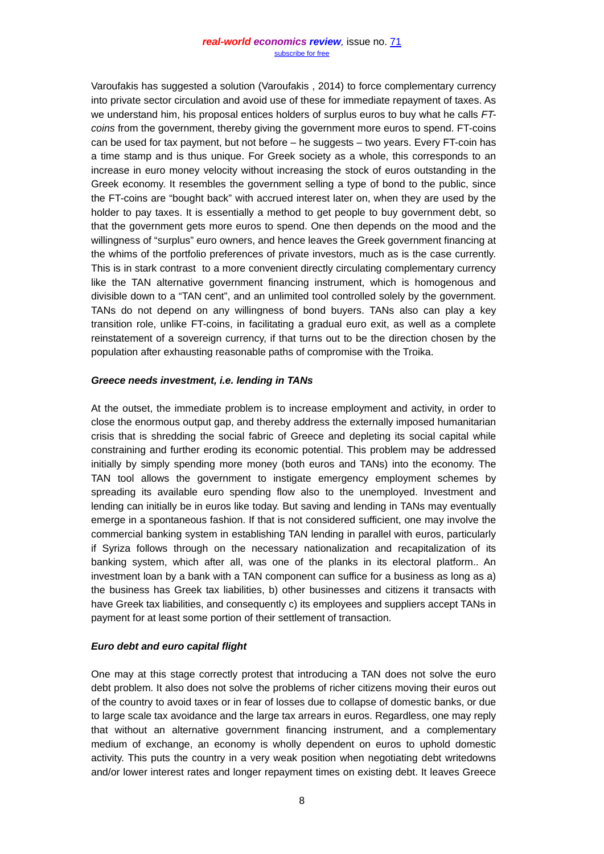#### *real-world economics review,* issue no. [71](http://www.paecon.net/PAEReview/issue71/whole71.pdf) [subscribe for free](http://www.feedblitz.com/f/f.fbz?Sub=332386)

Varoufakis has suggested a solution (Varoufakis , 2014) to force complementary currency into private sector circulation and avoid use of these for immediate repayment of taxes. As we understand him, his proposal entices holders of surplus euros to buy what he calls *FTcoins* from the government, thereby giving the government more euros to spend. FT-coins can be used for tax payment, but not before – he suggests – two years. Every FT-coin has a time stamp and is thus unique. For Greek society as a whole, this corresponds to an increase in euro money velocity without increasing the stock of euros outstanding in the Greek economy. It resembles the government selling a type of bond to the public, since the FT-coins are "bought back" with accrued interest later on, when they are used by the holder to pay taxes. It is essentially a method to get people to buy government debt, so that the government gets more euros to spend. One then depends on the mood and the willingness of "surplus" euro owners, and hence leaves the Greek government financing at the whims of the portfolio preferences of private investors, much as is the case currently. This is in stark contrast to a more convenient directly circulating complementary currency like the TAN alternative government financing instrument, which is homogenous and divisible down to a "TAN cent", and an unlimited tool controlled solely by the government. TANs do not depend on any willingness of bond buyers. TANs also can play a key transition role, unlike FT-coins, in facilitating a gradual euro exit, as well as a complete reinstatement of a sovereign currency, if that turns out to be the direction chosen by the population after exhausting reasonable paths of compromise with the Troika.

#### *Greece needs investment, i.e. lending in TANs*

At the outset, the immediate problem is to increase employment and activity, in order to close the enormous output gap, and thereby address the externally imposed humanitarian crisis that is shredding the social fabric of Greece and depleting its social capital while constraining and further eroding its economic potential. This problem may be addressed initially by simply spending more money (both euros and TANs) into the economy. The TAN tool allows the government to instigate emergency employment schemes by spreading its available euro spending flow also to the unemployed. Investment and lending can initially be in euros like today. But saving and lending in TANs may eventually emerge in a spontaneous fashion. If that is not considered sufficient, one may involve the commercial banking system in establishing TAN lending in parallel with euros, particularly if Syriza follows through on the necessary nationalization and recapitalization of its banking system, which after all, was one of the planks in its electoral platform.. An investment loan by a bank with a TAN component can suffice for a business as long as a) the business has Greek tax liabilities, b) other businesses and citizens it transacts with have Greek tax liabilities, and consequently c) its employees and suppliers accept TANs in payment for at least some portion of their settlement of transaction.

#### *Euro debt and euro capital flight*

One may at this stage correctly protest that introducing a TAN does not solve the euro debt problem. It also does not solve the problems of richer citizens moving their euros out of the country to avoid taxes or in fear of losses due to collapse of domestic banks, or due to large scale tax avoidance and the large tax arrears in euros. Regardless, one may reply that without an alternative government financing instrument, and a complementary medium of exchange, an economy is wholly dependent on euros to uphold domestic activity. This puts the country in a very weak position when negotiating debt writedowns and/or lower interest rates and longer repayment times on existing debt. It leaves Greece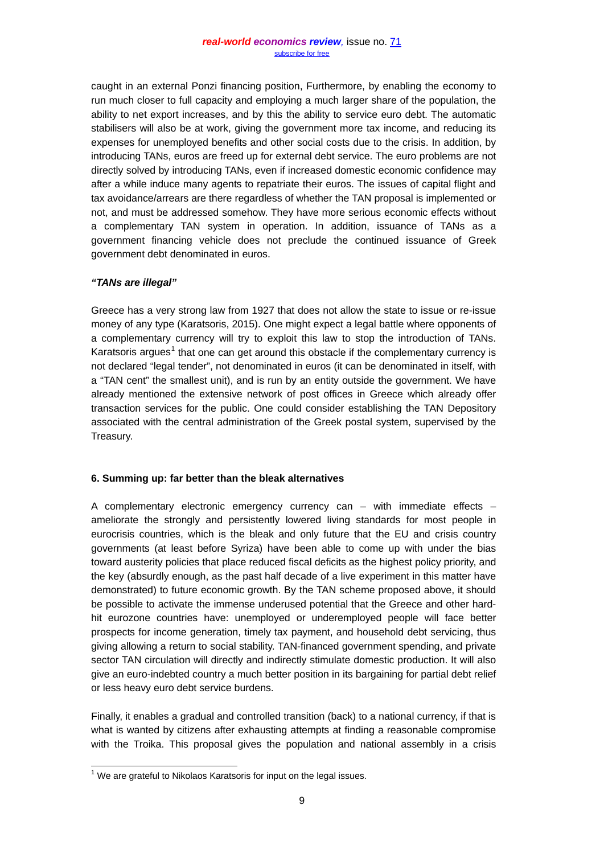caught in an external Ponzi financing position, Furthermore, by enabling the economy to run much closer to full capacity and employing a much larger share of the population, the ability to net export increases, and by this the ability to service euro debt. The automatic stabilisers will also be at work, giving the government more tax income, and reducing its expenses for unemployed benefits and other social costs due to the crisis. In addition, by introducing TANs, euros are freed up for external debt service. The euro problems are not directly solved by introducing TANs, even if increased domestic economic confidence may after a while induce many agents to repatriate their euros. The issues of capital flight and tax avoidance/arrears are there regardless of whether the TAN proposal is implemented or not, and must be addressed somehow. They have more serious economic effects without a complementary TAN system in operation. In addition, issuance of TANs as a government financing vehicle does not preclude the continued issuance of Greek government debt denominated in euros.

# *"TANs are illegal"*

Greece has a very strong law from 1927 that does not allow the state to issue or re-issue money of any type (Karatsoris, 2015). One might expect a legal battle where opponents of a complementary currency will try to exploit this law to stop the introduction of TANs. Karatsoris argues<sup>[1](#page-7-0)</sup> that one can get around this obstacle if the complementary currency is not declared "legal tender", not denominated in euros (it can be denominated in itself, with a "TAN cent" the smallest unit), and is run by an entity outside the government. We have already mentioned the extensive network of post offices in Greece which already offer transaction services for the public. One could consider establishing the TAN Depository associated with the central administration of the Greek postal system, supervised by the Treasury.

# **6. Summing up: far better than the bleak alternatives**

A complementary electronic emergency currency can  $-$  with immediate effects  $$ ameliorate the strongly and persistently lowered living standards for most people in eurocrisis countries, which is the bleak and only future that the EU and crisis country governments (at least before Syriza) have been able to come up with under the bias toward austerity policies that place reduced fiscal deficits as the highest policy priority, and the key (absurdly enough, as the past half decade of a live experiment in this matter have demonstrated) to future economic growth. By the TAN scheme proposed above, it should be possible to activate the immense underused potential that the Greece and other hardhit eurozone countries have: unemployed or underemployed people will face better prospects for income generation, timely tax payment, and household debt servicing, thus giving allowing a return to social stability. TAN-financed government spending, and private sector TAN circulation will directly and indirectly stimulate domestic production. It will also give an euro-indebted country a much better position in its bargaining for partial debt relief or less heavy euro debt service burdens.

Finally, it enables a gradual and controlled transition (back) to a national currency, if that is what is wanted by citizens after exhausting attempts at finding a reasonable compromise with the Troika. This proposal gives the population and national assembly in a crisis

<span id="page-7-0"></span> $1$  We are grateful to Nikolaos Karatsoris for input on the legal issues.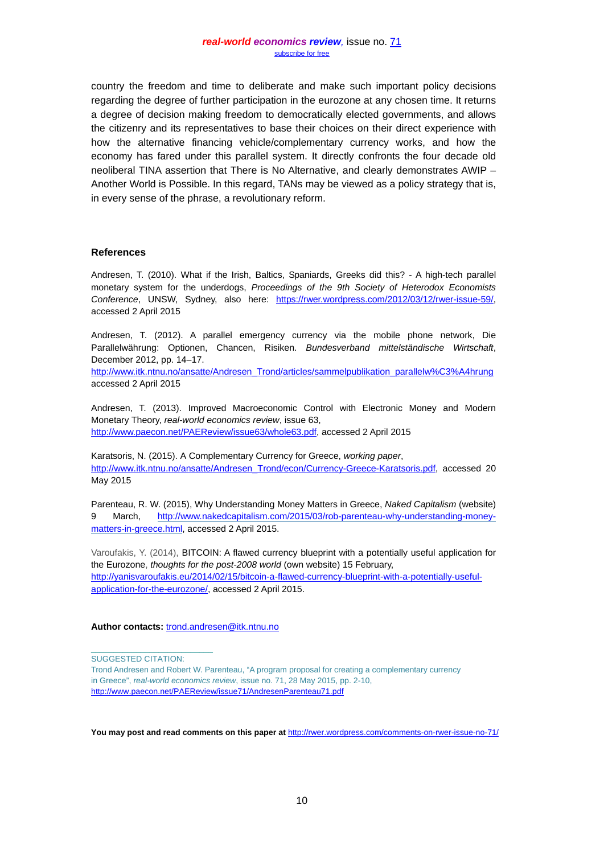country the freedom and time to deliberate and make such important policy decisions regarding the degree of further participation in the eurozone at any chosen time. It returns a degree of decision making freedom to democratically elected governments, and allows the citizenry and its representatives to base their choices on their direct experience with how the alternative financing vehicle/complementary currency works, and how the economy has fared under this parallel system. It directly confronts the four decade old neoliberal TINA assertion that There is No Alternative, and clearly demonstrates AWIP – Another World is Possible. In this regard, TANs may be viewed as a policy strategy that is, in every sense of the phrase, a revolutionary reform.

#### **References**

Andresen, T. (2010). What if the Irish, Baltics, Spaniards, Greeks did this? - A high-tech parallel monetary system for the underdogs, *Proceedings of the 9th Society of Heterodox Economists Conference*, UNSW, Sydney, also here: [https://rwer.wordpress.com/2012/03/12/rwer-issue-59/,](https://rwer.wordpress.com/2012/03/12/rwer-issue-59/) accessed 2 April 2015

Andresen, T. (2012). A parallel emergency currency via the mobile phone network, Die Parallelwährung: Optionen, Chancen, Risiken. *Bundesverband mittelständische Wirtschaft*, December 2012, pp. 14–17.

[http://www.itk.ntnu.no/ansatte/Andresen\\_Trond/articles/sammelpublikation\\_parallelw%C3%A4hrung](http://www.itk.ntnu.no/ansatte/Andresen_Trond/articles/sammelpublikation_parallelw%C3%A4hrung) accessed 2 April 2015

Andresen, T. (2013). Improved Macroeconomic Control with Electronic Money and Modern Monetary Theory, *real-world economics review*, issue 63, [http://www.paecon.net/PAEReview/issue63/whole63.pdf,](http://www.paecon.net/PAEReview/issue63/whole63.pdf) accessed 2 April 2015

Karatsoris, N. (2015). A Complementary Currency for Greece, *working paper*, [http://www.itk.ntnu.no/ansatte/Andresen\\_Trond/econ/Currency-Greece-Karatsoris.pdf,](http://www.itk.ntnu.no/ansatte/Andresen_Trond/econ/Currency-Greece-Karatsoris.pdf) accessed 20 May 2015

Parenteau, R. W. (2015), Why Understanding Money Matters in Greece, *Naked Capitalism* (website) 9 March, [http://www.nakedcapitalism.com/2015/03/rob-parenteau-why-understanding-money](http://www.nakedcapitalism.com/2015/03/rob-parenteau-why-understanding-money-matters-in-greece.html)[matters-in-greece.html,](http://www.nakedcapitalism.com/2015/03/rob-parenteau-why-understanding-money-matters-in-greece.html) accessed 2 April 2015.

Varoufakis, Y. (2014), BITCOIN: A flawed currency blueprint with a potentially useful application for the Eurozone, *thoughts for the post-2008 world* (own website) 15 February, [http://yanisvaroufakis.eu/2014/02/15/bitcoin-a-flawed-currency-blueprint-with-a-potentially-useful](http://yanisvaroufakis.eu/2014/02/15/bitcoin-a-flawed-currency-blueprint-with-a-potentially-useful-application-for-the-eurozone/)[application-for-the-eurozone/,](http://yanisvaroufakis.eu/2014/02/15/bitcoin-a-flawed-currency-blueprint-with-a-potentially-useful-application-for-the-eurozone/) accessed 2 April 2015.

#### **Author contacts:** [trond.andresen@itk.ntnu.no](mailto:trond.andresen@itk.ntnu.no)

SUGGESTED CITATION:

\_\_\_\_\_\_\_\_\_\_\_\_\_\_\_\_\_\_\_\_\_\_\_\_\_\_\_

**You may post and read comments on this paper at** <http://rwer.wordpress.com/comments-on-rwer-issue-no-71/>

Trond Andresen and Robert W. Parenteau, "A program proposal for creating a complementary currency in Greece", *real-world economics review*, issue no. 71, 28 May 2015, pp. 2-10, <http://www.paecon.net/PAEReview/issue71/AndresenParenteau71.pdf>